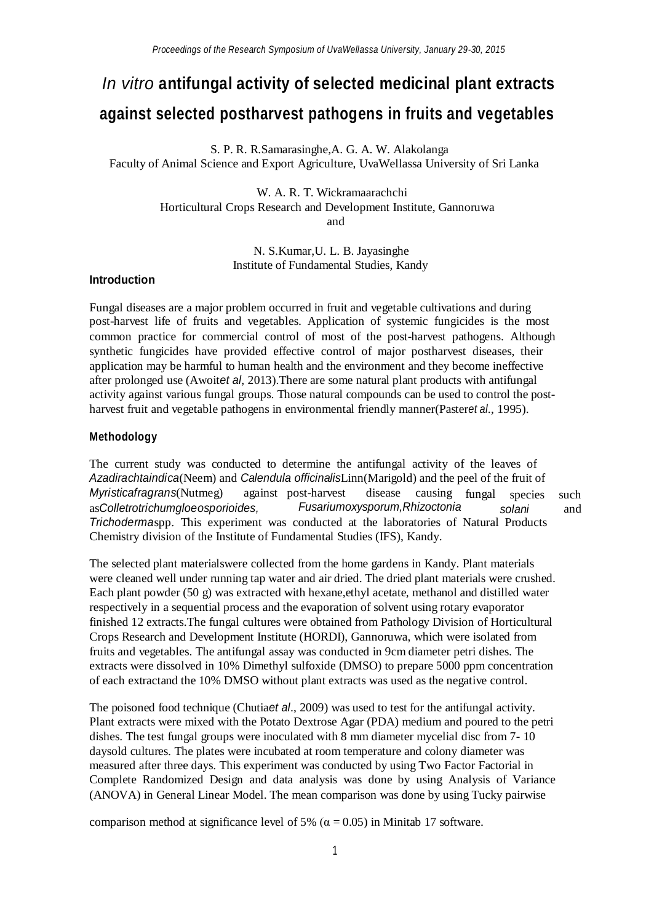# *In vitro* **antifungal activity of selected medicinal plant extracts against selected postharvest pathogens in fruits and vegetables**

S. P. R. R.Samarasinghe,A. G. A. W. Alakolanga Faculty of Animal Science and Export Agriculture, UvaWellassa University of Sri Lanka

> W. A. R. T. Wickramaarachchi Horticultural Crops Research and Development Institute, Gannoruwa and

> > N. S.Kumar,U. L. B. Jayasinghe Institute of Fundamental Studies, Kandy

#### **Introduction**

Fungal diseases are a major problem occurred in fruit and vegetable cultivations and during post-harvest life of fruits and vegetables. Application of systemic fungicides is the most common practice for commercial control of most of the post-harvest pathogens. Although synthetic fungicides have provided effective control of major postharvest diseases, their application may be harmful to human health and the environment and they become ineffective after prolonged use (Awoit*et al*, 2013).There are some natural plant products with antifungal activity against various fungal groups. Those natural compounds can be used to control the postharvest fruit and vegetable pathogens in environmental friendly manner(Paster*et al*., 1995).

#### **Methodology**

as*Colletrotrichumgloeosporioides,* such and causing fungal species *solani* The current study was conducted to determine the antifungal activity of the leaves of *Azadirachtaindica*(Neem) and *Calendula officinalis*Linn(Marigold) and the peel of the fruit of *Myristicafragrans*(Nutmeg) against post-harvest disease *Fusariumoxysporum,Rhizoctonia Trichoderma*spp. This experiment was conducted at the laboratories of Natural Products Chemistry division of the Institute of Fundamental Studies (IFS), Kandy.

The selected plant materialswere collected from the home gardens in Kandy. Plant materials were cleaned well under running tap water and air dried. The dried plant materials were crushed. Each plant powder (50 g) was extracted with hexane,ethyl acetate, methanol and distilled water respectively in a sequential process and the evaporation of solvent using rotary evaporator finished 12 extracts.The fungal cultures were obtained from Pathology Division of Horticultural Crops Research and Development Institute (HORDI), Gannoruwa, which were isolated from fruits and vegetables. The antifungal assay was conducted in 9cm diameter petri dishes. The extracts were dissolved in 10% Dimethyl sulfoxide (DMSO) to prepare 5000 ppm concentration of each extractand the 10% DMSO without plant extracts was used as the negative control.

The poisoned food technique (Chutia*et al*., 2009) was used to test for the antifungal activity. Plant extracts were mixed with the Potato Dextrose Agar (PDA) medium and poured to the petri dishes. The test fungal groups were inoculated with 8 mm diameter mycelial disc from 7- 10 daysold cultures. The plates were incubated at room temperature and colony diameter was measured after three days. This experiment was conducted by using Two Factor Factorial in Complete Randomized Design and data analysis was done by using Analysis of Variance (ANOVA) in General Linear Model. The mean comparison was done by using Tucky pairwise

comparison method at significance level of 5% ( $\alpha$  = 0.05) in Minitab 17 software.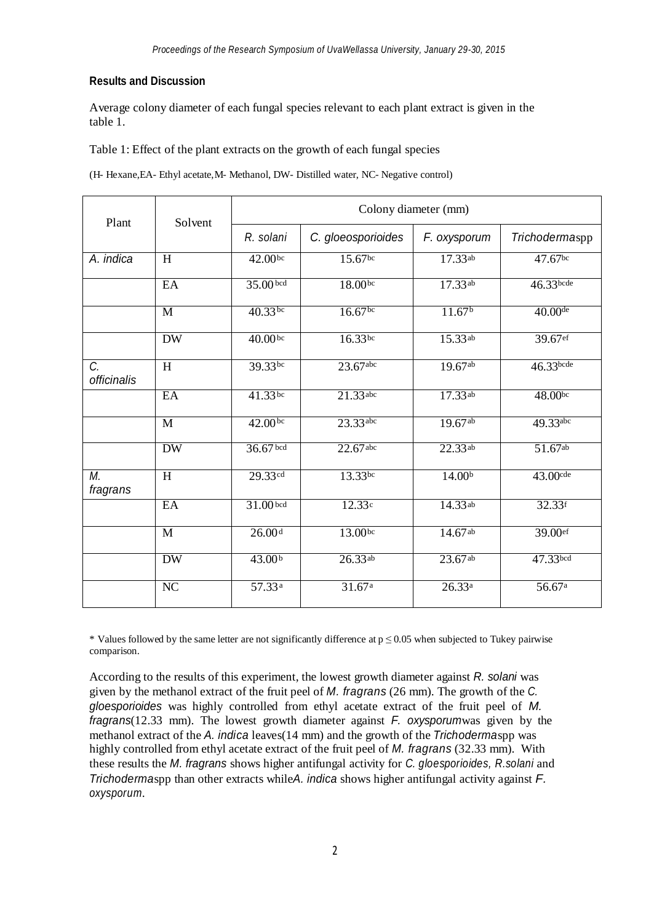### **Results and Discussion**

Average colony diameter of each fungal species relevant to each plant extract is given in the table 1.

Table 1: Effect of the plant extracts on the growth of each fungal species

(H- Hexane,EA- Ethyl acetate,M- Methanol, DW- Distilled water, NC- Negative control)

| Plant             | Solvent         | Colony diameter (mm) |                     |                    |                |
|-------------------|-----------------|----------------------|---------------------|--------------------|----------------|
|                   |                 | R. solani            | C. gloeosporioides  | F. oxysporum       | Trichodermaspp |
| A. indica         | H               | 42.00 <sup>bc</sup>  | $15.67$ bc          | 17.33ab            | 47.67bc        |
|                   | EA              | 35.00 <sup>bcd</sup> | $18.00^{bc}$        | 17.33ab            | $46.33$ bcde   |
|                   | M               | $40.33^{bc}$         | 16.67 <sup>bc</sup> | 11.67 <sup>b</sup> | $40.00$ de     |
|                   | <b>DW</b>       | 40.00 <sup>bc</sup>  | $16.33^{bc}$        | 15.33ab            | 39.67ef        |
| C.<br>officinalis | H               | 39.33bc              | $23.67$ abc         | $19.67^{ab}$       | 46.33bcde      |
|                   | EA              | $41.33$ bc           | 21.33 abc           | 17.33ab            | 48.00bc        |
|                   | M               | 42.00 <sup>bc</sup>  | 23.33 abc           | 19.67ab            | 49.33abc       |
|                   | <b>DW</b>       | $36.67$ bcd          | $22.67$ abc         | $22.33^{ab}$       | 51.67ab        |
| М.<br>fragrans    | H               | 29.33cd              | $13.33^{bc}$        | 14.00 <sup>b</sup> | 43.00cde       |
|                   | EA              | $31.00$ bcd          | 12.33c              | 14.33ab            | 32.33f         |
|                   | M               | 26.00 <sup>d</sup>   | 13.00bc             | 14.67ab            | 39.00ef        |
|                   | <b>DW</b>       | 43.00 <sup>b</sup>   | 26.33ab             | $23.67$ ab         | 47.33bcd       |
|                   | $\overline{NC}$ | 57.33 <sup>a</sup>   | 31.67a              | 26.33a             | 56.67a         |

\* Values followed by the same letter are not significantly difference at  $p \le 0.05$  when subjected to Tukey pairwise comparison.

According to the results of this experiment, the lowest growth diameter against *R. solani* was given by the methanol extract of the fruit peel of *M. fragrans* (26 mm). The growth of the *C. gloesporioides* was highly controlled from ethyl acetate extract of the fruit peel of *M. fragrans*(12.33 mm). The lowest growth diameter against *F. oxysporum*was given by the methanol extract of the *A. indica* leaves(14 mm) and the growth of the *Trichoderma*spp was highly controlled from ethyl acetate extract of the fruit peel of *M. fragrans* (32.33 mm). With these results the *M. fragrans* shows higher antifungal activity for *C. gloesporioides, R.solani* and *Trichoderma*spp than other extracts while*A. indica* shows higher antifungal activity against *F. oxysporum*.